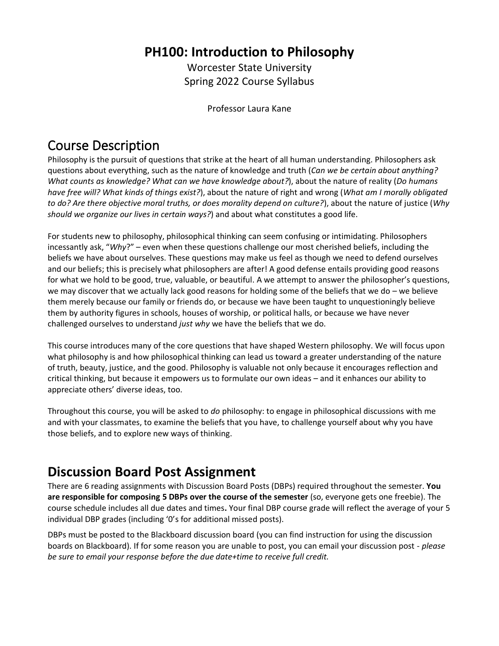### **PH100: Introduction to Philosophy**

Worcester State University Spring 2022 Course Syllabus

Professor Laura Kane

# Course Description

Philosophy is the pursuit of questions that strike at the heart of all human understanding. Philosophers ask questions about everything, such as the nature of knowledge and truth (*Can we be certain about anything? What counts as knowledge? What can we have knowledge about?*), about the nature of reality (*Do humans have free will? What kinds of things exist?*), about the nature of right and wrong (*What am I morally obligated to do? Are there objective moral truths, or does morality depend on culture?*), about the nature of justice (*Why should we organize our lives in certain ways?*) and about what constitutes a good life.

For students new to philosophy, philosophical thinking can seem confusing or intimidating. Philosophers incessantly ask, "*Why*?" – even when these questions challenge our most cherished beliefs, including the beliefs we have about ourselves. These questions may make us feel as though we need to defend ourselves and our beliefs; this is precisely what philosophers are after! A good defense entails providing good reasons for what we hold to be good, true, valuable, or beautiful. A we attempt to answer the philosopher's questions, we may discover that we actually lack good reasons for holding some of the beliefs that we do - we believe them merely because our family or friends do, or because we have been taught to unquestioningly believe them by authority figures in schools, houses of worship, or political halls, or because we have never challenged ourselves to understand *just why* we have the beliefs that we do.

This course introduces many of the core questions that have shaped Western philosophy. We will focus upon what philosophy is and how philosophical thinking can lead us toward a greater understanding of the nature of truth, beauty, justice, and the good. Philosophy is valuable not only because it encourages reflection and critical thinking, but because it empowers us to formulate our own ideas – and it enhances our ability to appreciate others' diverse ideas, too.

Throughout this course, you will be asked to *do* philosophy: to engage in philosophical discussions with me and with your classmates, to examine the beliefs that you have, to challenge yourself about why you have those beliefs, and to explore new ways of thinking.

# **Discussion Board Post Assignment**

There are 6 reading assignments with Discussion Board Posts (DBPs) required throughout the semester. **You are responsible for composing 5 DBPs over the course of the semester** (so, everyone gets one freebie). The course schedule includes all due dates and times**.** Your final DBP course grade will reflect the average of your 5 individual DBP grades (including '0's for additional missed posts).

DBPs must be posted to the Blackboard discussion board (you can find instruction for using the discussion boards on Blackboard). If for some reason you are unable to post, you can email your discussion post - *please be sure to email your response before the due date+time to receive full credit.*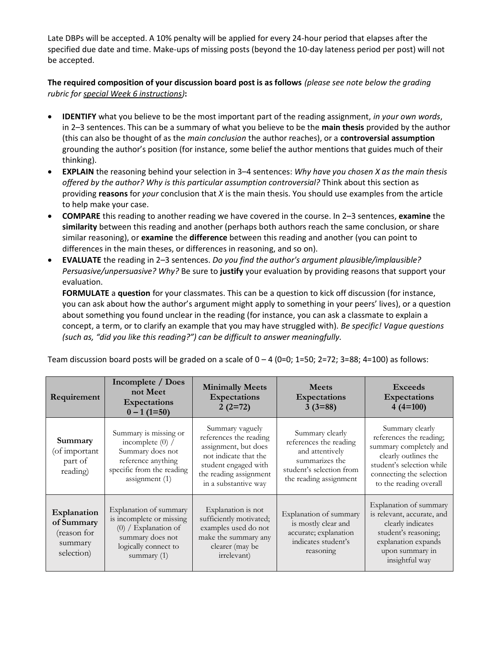Late DBPs will be accepted. A 10% penalty will be applied for every 24-hour period that elapses after the specified due date and time. Make-ups of missing posts (beyond the 10-day lateness period per post) will not be accepted.

**The required composition of your discussion board post is as follows** *(please see note below the grading rubric for special Week 6 instructions)***:** 

- **IDENTIFY** what you believe to be the most important part of the reading assignment, *in your own words*, in 2–3 sentences. This can be a summary of what you believe to be the **main thesis** provided by the author (this can also be thought of as the *main conclusion* the author reaches), or a **controversial assumption**  grounding the author's position (for instance, some belief the author mentions that guides much of their thinking).
- **EXPLAIN** the reasoning behind your selection in 3–4 sentences: *Why have you chosen X as the main thesis offered by the author? Why is this particular assumption controversial?* Think about this section as providing **reasons** for *your* conclusion that *X* is the main thesis. You should use examples from the article to help make your case.
- **COMPARE** this reading to another reading we have covered in the course. In 2–3 sentences, **examine** the **similarity** between this reading and another (perhaps both authors reach the same conclusion, or share similar reasoning), or **examine** the **difference** between this reading and another (you can point to differences in the main theses, or differences in reasoning, and so on).
- **EVALUATE** the reading in 2–3 sentences. *Do you find the author's argument plausible/implausible? Persuasive/unpersuasive? Why?* Be sure to **justify** your evaluation by providing reasons that support your evaluation.

**FORMULATE** a **question** for your classmates. This can be a question to kick off discussion (for instance, you can ask about how the author's argument might apply to something in your peers' lives), or a question about something you found unclear in the reading (for instance, you can ask a classmate to explain a concept, a term, or to clarify an example that you may have struggled with). *Be specific! Vague questions (such as, "did you like this reading?") can be difficult to answer meaningfully.* 

| Requirement                                                       | Incomplete / Does<br>not Meet<br><b>Expectations</b><br>$0 - 1$ (1=50)                                                                    | <b>Minimally Meets</b><br>Expectations<br>$2(2=72)$                                                                                                                  | <b>Meets</b><br>Expectations<br>$3(3=88)$                                                                                            | <b>Exceeds</b><br>Expectations<br>$4(4=100)$                                                                                                                                    |
|-------------------------------------------------------------------|-------------------------------------------------------------------------------------------------------------------------------------------|----------------------------------------------------------------------------------------------------------------------------------------------------------------------|--------------------------------------------------------------------------------------------------------------------------------------|---------------------------------------------------------------------------------------------------------------------------------------------------------------------------------|
| Summary<br>(of important<br>part of<br>reading)                   | Summary is missing or<br>incomplete $(0)$ /<br>Summary does not<br>reference anything<br>specific from the reading<br>assignment (1)      | Summary vaguely<br>references the reading<br>assignment, but does<br>not indicate that the<br>student engaged with<br>the reading assignment<br>in a substantive way | Summary clearly<br>references the reading<br>and attentively<br>summarizes the<br>student's selection from<br>the reading assignment | Summary clearly<br>references the reading;<br>summary completely and<br>clearly outlines the<br>student's selection while<br>connecting the selection<br>to the reading overall |
| Explanation<br>of Summary<br>(reason for<br>summary<br>selection) | Explanation of summary<br>is incomplete or missing<br>$(0)$ / Explanation of<br>summary does not<br>logically connect to<br>summary $(1)$ | Explanation is not<br>sufficiently motivated;<br>examples used do not<br>make the summary any<br>clearer (may be<br><i>irrelevant</i> )                              | Explanation of summary<br>is mostly clear and<br>accurate; explanation<br>indicates student's<br>reasoning                           | Explanation of summary<br>is relevant, accurate, and<br>clearly indicates<br>student's reasoning;<br>explanation expands<br>upon summary in<br>insightful way                   |

Team discussion board posts will be graded on a scale of  $0 - 4$  (0=0; 1=50; 2=72; 3=88; 4=100) as follows: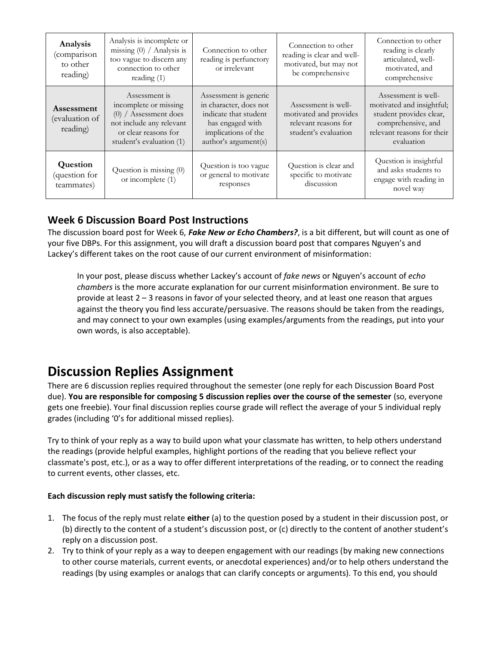| Analysis<br>(comparison<br>to other<br>reading) | Analysis is incomplete or<br>missing $(0)$ / Analysis is<br>too vague to discern any<br>connection to other<br>reading $(1)$                      | Connection to other<br>reading is perfunctory<br>or irrelevant                                                                              | Connection to other<br>reading is clear and well-<br>motivated, but may not<br>be comprehensive | Connection to other<br>reading is clearly<br>articulated, well-<br>motivated, and<br>comprehensive                                            |
|-------------------------------------------------|---------------------------------------------------------------------------------------------------------------------------------------------------|---------------------------------------------------------------------------------------------------------------------------------------------|-------------------------------------------------------------------------------------------------|-----------------------------------------------------------------------------------------------------------------------------------------------|
| Assessment<br>(evaluation of<br>reading)        | Assessment is<br>incomplete or missing<br>$(0)$ / Assessment does<br>not include any relevant<br>or clear reasons for<br>student's evaluation (1) | Assessment is generic<br>in character, does not<br>indicate that student<br>has engaged with<br>implications of the<br>author's argument(s) | Assessment is well-<br>motivated and provides<br>relevant reasons for<br>student's evaluation   | Assessment is well-<br>motivated and insightful;<br>student provides clear,<br>comprehensive, and<br>relevant reasons for their<br>evaluation |
| Question<br>question for<br>teammates)          | Question is missing $(0)$<br>or incomplete (1)                                                                                                    | Question is too vague<br>or general to motivate<br>responses                                                                                | Question is clear and<br>specific to motivate<br>discussion                                     | Question is insightful<br>and asks students to<br>engage with reading in<br>novel way                                                         |

### **Week 6 Discussion Board Post Instructions**

The discussion board post for Week 6, *Fake New or Echo Chambers?*, is a bit different, but will count as one of your five DBPs. For this assignment, you will draft a discussion board post that compares Nguyen's and Lackey's different takes on the root cause of our current environment of misinformation:

In your post, please discuss whether Lackey's account of *fake news* or Nguyen's account of *echo chambers* is the more accurate explanation for our current misinformation environment. Be sure to provide at least 2 – 3 reasons in favor of your selected theory, and at least one reason that argues against the theory you find less accurate/persuasive. The reasons should be taken from the readings, and may connect to your own examples (using examples/arguments from the readings, put into your own words, is also acceptable).

## **Discussion Replies Assignment**

There are 6 discussion replies required throughout the semester (one reply for each Discussion Board Post due). **You are responsible for composing 5 discussion replies over the course of the semester** (so, everyone gets one freebie). Your final discussion replies course grade will reflect the average of your 5 individual reply grades (including '0's for additional missed replies).

Try to think of your reply as a way to build upon what your classmate has written, to help others understand the readings (provide helpful examples, highlight portions of the reading that you believe reflect your classmate's post, etc.), or as a way to offer different interpretations of the reading, or to connect the reading to current events, other classes, etc.

#### **Each discussion reply must satisfy the following criteria:**

- 1. The focus of the reply must relate **either** (a) to the question posed by a student in their discussion post, or (b) directly to the content of a student's discussion post, or (c) directly to the content of another student's reply on a discussion post.
- 2. Try to think of your reply as a way to deepen engagement with our readings (by making new connections to other course materials, current events, or anecdotal experiences) and/or to help others understand the readings (by using examples or analogs that can clarify concepts or arguments). To this end, you should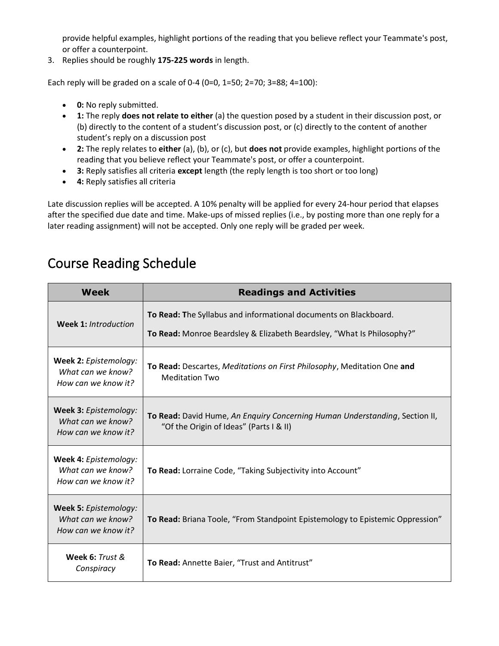provide helpful examples, highlight portions of the reading that you believe reflect your Teammate's post, or offer a counterpoint.

3. Replies should be roughly **175-225 words** in length.

Each reply will be graded on a scale of 0-4 (0=0, 1=50; 2=70; 3=88; 4=100):

- **0:** No reply submitted.
- **1:** The reply **does not relate to either** (a) the question posed by a student in their discussion post, or (b) directly to the content of a student's discussion post, or (c) directly to the content of another student's reply on a discussion post
- **2:** The reply relates to **either** (a), (b), or (c), but **does not** provide examples, highlight portions of the reading that you believe reflect your Teammate's post, or offer a counterpoint.
- **3:** Reply satisfies all criteria **except** length (the reply length is too short or too long)
- **4:** Reply satisfies all criteria

Late discussion replies will be accepted. A 10% penalty will be applied for every 24-hour period that elapses after the specified due date and time. Make-ups of missed replies (i.e., by posting more than one reply for a later reading assignment) will not be accepted. Only one reply will be graded per week.

## Course Reading Schedule

| <b>Week</b>                                                       | <b>Readings and Activities</b>                                                                                                             |  |  |
|-------------------------------------------------------------------|--------------------------------------------------------------------------------------------------------------------------------------------|--|--|
| <b>Week 1: Introduction</b>                                       | To Read: The Syllabus and informational documents on Blackboard.<br>To Read: Monroe Beardsley & Elizabeth Beardsley, "What Is Philosophy?" |  |  |
| Week 2: Epistemology:<br>What can we know?<br>How can we know it? | To Read: Descartes, Meditations on First Philosophy, Meditation One and<br><b>Meditation Two</b>                                           |  |  |
| Week 3: Epistemology:<br>What can we know?<br>How can we know it? | To Read: David Hume, An Enguiry Concerning Human Understanding, Section II,<br>"Of the Origin of Ideas" (Parts I & II)                     |  |  |
| Week 4: Epistemology:<br>What can we know?<br>How can we know it? | To Read: Lorraine Code, "Taking Subjectivity into Account"                                                                                 |  |  |
| Week 5: Epistemology:<br>What can we know?<br>How can we know it? | To Read: Briana Toole, "From Standpoint Epistemology to Epistemic Oppression"                                                              |  |  |
| Week 6: Trust &<br>Conspiracy                                     | To Read: Annette Baier, "Trust and Antitrust"                                                                                              |  |  |